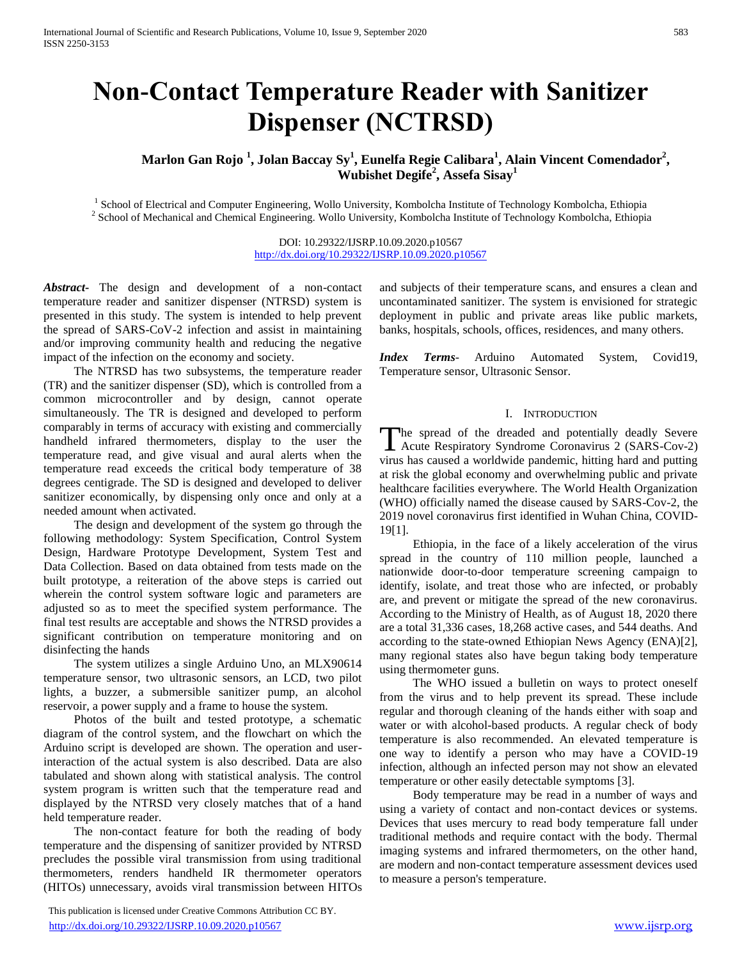# **Non-Contact Temperature Reader with Sanitizer Dispenser (NCTRSD)**

**Marlon Gan Rojo <sup>1</sup> , Jolan Baccay Sy<sup>1</sup> , Eunelfa Regie Calibara<sup>1</sup> , Alain Vincent Comendador<sup>2</sup> , Wubishet Degife<sup>2</sup> , Assefa Sisay<sup>1</sup>**

<sup>1</sup> School of Electrical and Computer Engineering, Wollo University, Kombolcha Institute of Technology Kombolcha, Ethiopia <sup>2</sup> School of Mechanical and Chemical Engineering. Wollo University, Kombolcha Institute of Technology Kombolcha, Ethiopia

> DOI: 10.29322/IJSRP.10.09.2020.p10567 <http://dx.doi.org/10.29322/IJSRP.10.09.2020.p10567>

*Abstract***-** The design and development of a non-contact temperature reader and sanitizer dispenser (NTRSD) system is presented in this study. The system is intended to help prevent the spread of SARS-CoV-2 infection and assist in maintaining and/or improving community health and reducing the negative impact of the infection on the economy and society.

 The NTRSD has two subsystems, the temperature reader (TR) and the sanitizer dispenser (SD), which is controlled from a common microcontroller and by design, cannot operate simultaneously. The TR is designed and developed to perform comparably in terms of accuracy with existing and commercially handheld infrared thermometers, display to the user the temperature read, and give visual and aural alerts when the temperature read exceeds the critical body temperature of 38 degrees centigrade. The SD is designed and developed to deliver sanitizer economically, by dispensing only once and only at a needed amount when activated.

 The design and development of the system go through the following methodology: System Specification, Control System Design, Hardware Prototype Development, System Test and Data Collection. Based on data obtained from tests made on the built prototype, a reiteration of the above steps is carried out wherein the control system software logic and parameters are adjusted so as to meet the specified system performance. The final test results are acceptable and shows the NTRSD provides a significant contribution on temperature monitoring and on disinfecting the hands

 The system utilizes a single Arduino Uno, an MLX90614 temperature sensor, two ultrasonic sensors, an LCD, two pilot lights, a buzzer, a submersible sanitizer pump, an alcohol reservoir, a power supply and a frame to house the system.

 Photos of the built and tested prototype, a schematic diagram of the control system, and the flowchart on which the Arduino script is developed are shown. The operation and userinteraction of the actual system is also described. Data are also tabulated and shown along with statistical analysis. The control system program is written such that the temperature read and displayed by the NTRSD very closely matches that of a hand held temperature reader.

 The non-contact feature for both the reading of body temperature and the dispensing of sanitizer provided by NTRSD precludes the possible viral transmission from using traditional thermometers, renders handheld IR thermometer operators (HITOs) unnecessary, avoids viral transmission between HITOs

 This publication is licensed under Creative Commons Attribution CC BY. <http://dx.doi.org/10.29322/IJSRP.10.09.2020.p10567> [www.ijsrp.org](http://ijsrp.org/)

and subjects of their temperature scans, and ensures a clean and uncontaminated sanitizer. The system is envisioned for strategic deployment in public and private areas like public markets, banks, hospitals, schools, offices, residences, and many others.

*Index Terms*- Arduino Automated System, Covid19, Temperature sensor, Ultrasonic Sensor.

#### I. INTRODUCTION

The spread of the dreaded and potentially deadly Severe<br>Acute Respiratory Syndrome Coronavirus 2 (SARS-Cov-2) Acute Respiratory Syndrome Coronavirus 2 (SARS-Cov-2) virus has caused a worldwide pandemic, hitting hard and putting at risk the global economy and overwhelming public and private healthcare facilities everywhere. The World Health Organization (WHO) officially named the disease caused by SARS-Cov-2, the 2019 novel coronavirus first identified in Wuhan China, COVID-19[1].

 Ethiopia, in the face of a likely acceleration of the virus spread in the country of 110 million people, launched a nationwide door-to-door temperature screening campaign to identify, isolate, and treat those who are infected, or probably are, and prevent or mitigate the spread of the new coronavirus. According to the Ministry of Health, as of August 18, 2020 there are a total 31,336 cases, 18,268 active cases, and 544 deaths. And according to the state-owned Ethiopian News Agency (ENA)[2], many regional states also have begun taking body temperature using thermometer guns.

 The WHO issued a bulletin on ways to protect oneself from the virus and to help prevent its spread. These include regular and thorough cleaning of the hands either with soap and water or with alcohol-based products. A regular check of body temperature is also recommended. An elevated temperature is one way to identify a person who may have a COVID-19 infection, although an infected person may not show an elevated temperature or other easily detectable symptoms [3].

 Body temperature may be read in a number of ways and using a variety of contact and non-contact devices or systems. Devices that uses mercury to read body temperature fall under traditional methods and require contact with the body. Thermal imaging systems and infrared thermometers, on the other hand, are modern and non-contact temperature assessment devices used to measure a person's temperature.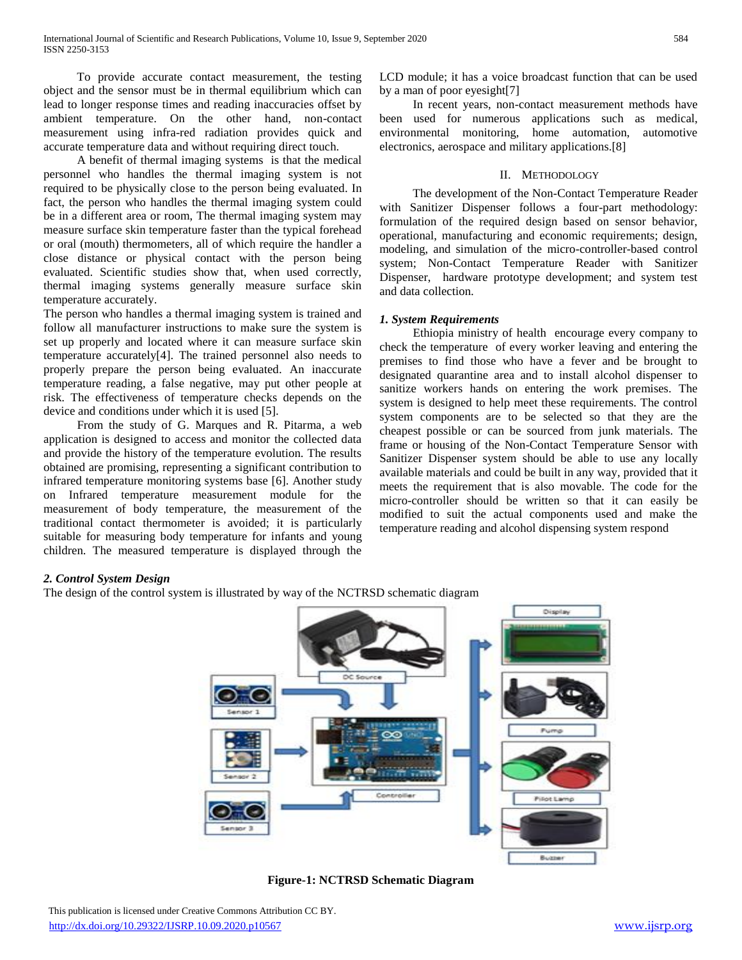To provide accurate contact measurement, the testing object and the sensor must be in thermal equilibrium which can lead to longer response times and reading inaccuracies offset by ambient temperature. On the other hand, non-contact measurement using infra-red radiation provides quick and accurate temperature data and without requiring direct touch.

 A benefit of thermal imaging systems is that the medical personnel who handles the thermal imaging system is not required to be physically close to the person being evaluated. In fact, the person who handles the thermal imaging system could be in a different area or room, The thermal imaging system may measure surface skin temperature faster than the typical forehead or oral (mouth) thermometers, all of which require the handler a close distance or physical contact with the person being evaluated. Scientific studies show that, when used correctly, thermal imaging systems generally measure surface skin temperature accurately.

The person who handles a thermal imaging system is trained and follow all manufacturer instructions to make sure the system is set up properly and located where it can measure surface skin temperature accurately[4]. The trained personnel also needs to properly prepare the person being evaluated. An inaccurate temperature reading, a false negative, may put other people at risk. The effectiveness of temperature checks depends on the device and conditions under which it is used [5].

 From the study of G. Marques and R. Pitarma, a web application is designed to access and monitor the collected data and provide the history of the temperature evolution. The results obtained are promising, representing a significant contribution to infrared temperature monitoring systems base [6]. Another study on Infrared temperature measurement module for the measurement of body temperature, the measurement of the traditional contact thermometer is avoided; it is particularly suitable for measuring body temperature for infants and young children. The measured temperature is displayed through the LCD module; it has a voice broadcast function that can be used by a man of poor eyesight[7]

 In recent years, non-contact measurement methods have been used for numerous applications such as medical, environmental monitoring, home automation, automotive electronics, aerospace and military applications.[8]

## II. METHODOLOGY

 The development of the Non-Contact Temperature Reader with Sanitizer Dispenser follows a four-part methodology: formulation of the required design based on sensor behavior, operational, manufacturing and economic requirements; design, modeling, and simulation of the micro-controller-based control system; Non-Contact Temperature Reader with Sanitizer Dispenser, hardware prototype development; and system test and data collection.

## *1. System Requirements*

 Ethiopia ministry of health encourage every company to check the temperature of every worker leaving and entering the premises to find those who have a fever and be brought to designated quarantine area and to install alcohol dispenser to sanitize workers hands on entering the work premises. The system is designed to help meet these requirements. The control system components are to be selected so that they are the cheapest possible or can be sourced from junk materials. The frame or housing of the Non-Contact Temperature Sensor with Sanitizer Dispenser system should be able to use any locally available materials and could be built in any way, provided that it meets the requirement that is also movable. The code for the micro-controller should be written so that it can easily be modified to suit the actual components used and make the temperature reading and alcohol dispensing system respond

## *2. Control System Design*

The design of the control system is illustrated by way of the NCTRSD schematic diagram



**Figure-1: NCTRSD Schematic Diagram**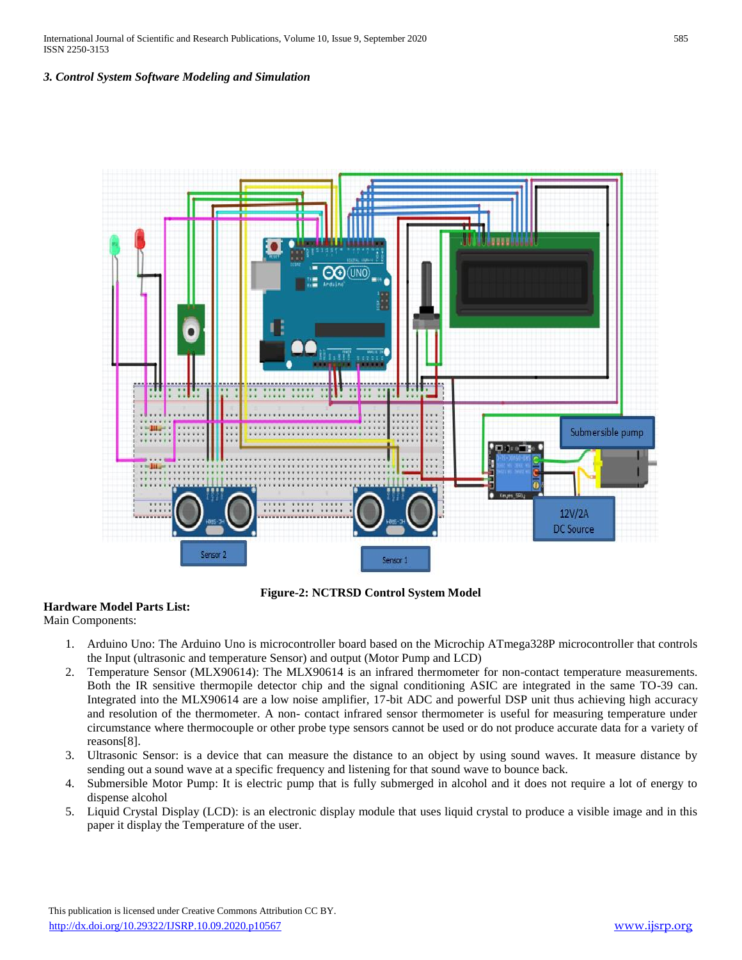International Journal of Scientific and Research Publications, Volume 10, Issue 9, September 2020 585 ISSN 2250-3153

## *3. Control System Software Modeling and Simulation*



**Figure-2: NCTRSD Control System Model**

## **Hardware Model Parts List:**

Main Components:

- 1. Arduino Uno: The Arduino Uno is microcontroller board based on the Microchip ATmega328P microcontroller that controls the Input (ultrasonic and temperature Sensor) and output (Motor Pump and LCD)
- 2. Temperature Sensor (MLX90614): The MLX90614 is an infrared thermometer for non-contact temperature measurements. Both the IR sensitive thermopile detector chip and the signal conditioning ASIC are integrated in the same TO-39 can. Integrated into the MLX90614 are a low noise amplifier, 17-bit ADC and powerful DSP unit thus achieving high accuracy and resolution of the thermometer. A non- contact infrared sensor thermometer is useful for measuring temperature under circumstance where thermocouple or other probe type sensors cannot be used or do not produce accurate data for a variety of reasons[8].
- 3. Ultrasonic Sensor: is a device that can measure the distance to an object by using sound waves. It measure distance by sending out a sound wave at a specific frequency and listening for that sound wave to bounce back.
- 4. Submersible Motor Pump: It is electric pump that is fully submerged in alcohol and it does not require a lot of energy to dispense alcohol
- 5. Liquid Crystal Display (LCD): is an electronic display module that uses liquid crystal to produce a visible image and in this paper it display the Temperature of the user.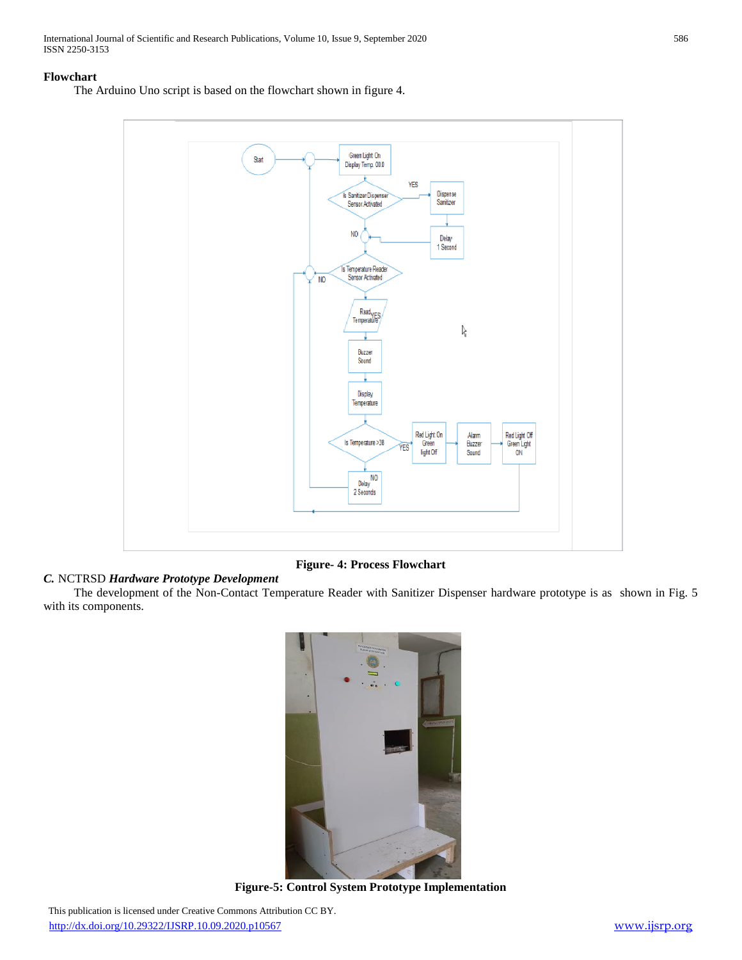International Journal of Scientific and Research Publications, Volume 10, Issue 9, September 2020 586 ISSN 2250-3153

#### **Flowchart**

The Arduino Uno script is based on the flowchart shown in figure 4.



## **Figure- 4: Process Flowchart**

# *C.* NCTRSD *Hardware Prototype Development*

 The development of the Non-Contact Temperature Reader with Sanitizer Dispenser hardware prototype is as shown in Fig. 5 with its components.



**Figure-5: Control System Prototype Implementation**

 This publication is licensed under Creative Commons Attribution CC BY. <http://dx.doi.org/10.29322/IJSRP.10.09.2020.p10567> [www.ijsrp.org](http://ijsrp.org/)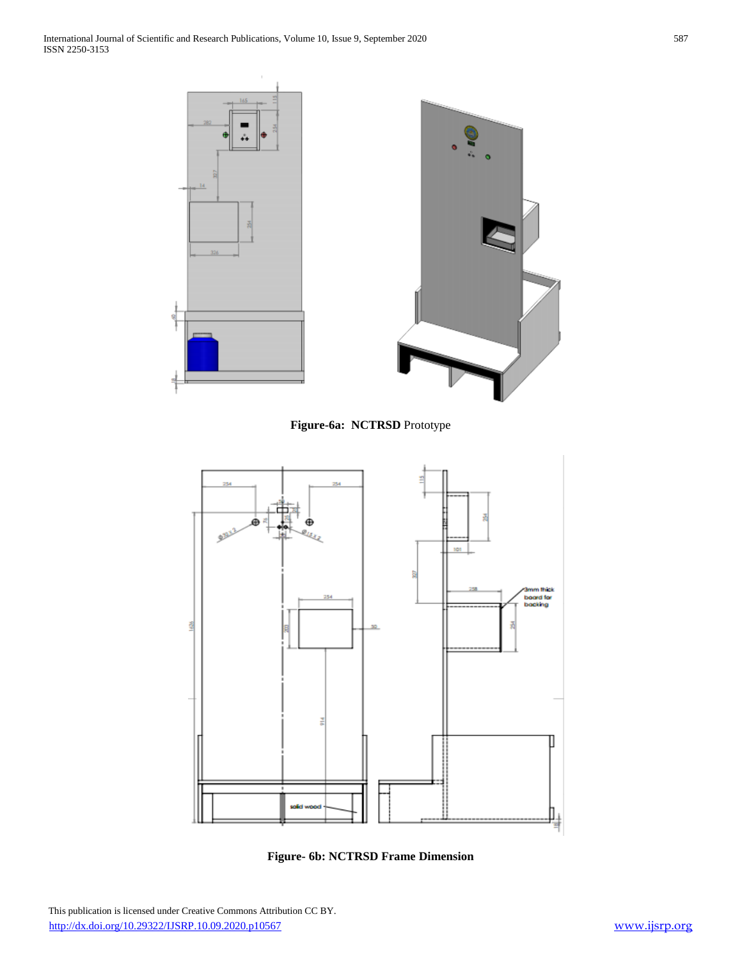





**Figure- 6b: NCTRSD Frame Dimension**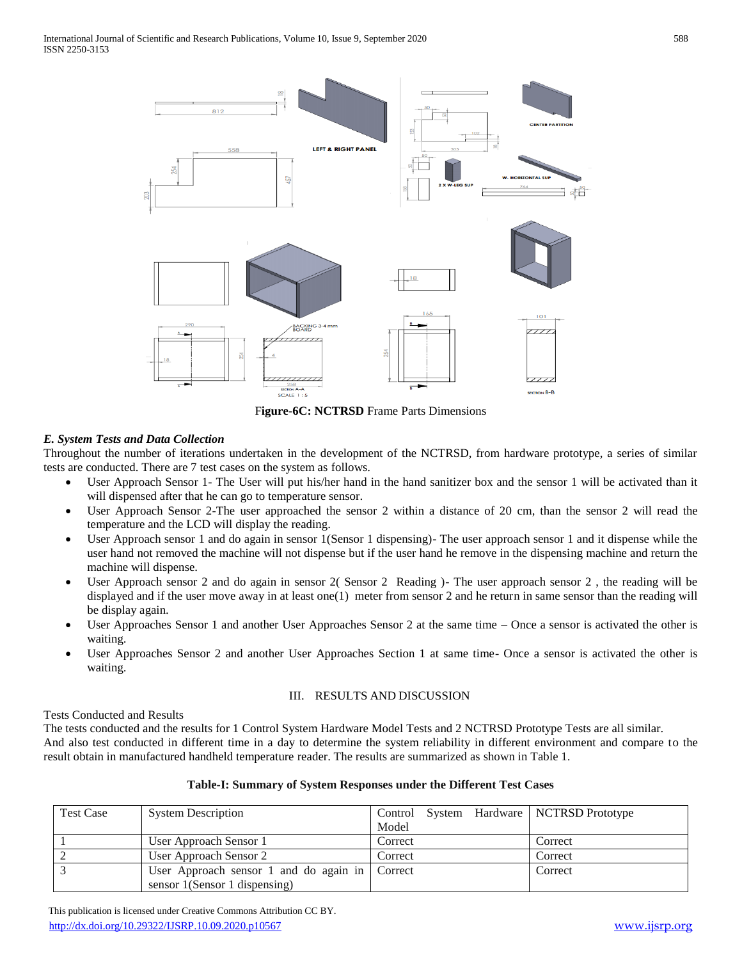

F**igure-6C: NCTRSD** Frame Parts Dimensions

# *E. System Tests and Data Collection*

Throughout the number of iterations undertaken in the development of the NCTRSD, from hardware prototype, a series of similar tests are conducted. There are 7 test cases on the system as follows.

- User Approach Sensor 1- The User will put his/her hand in the hand sanitizer box and the sensor 1 will be activated than it will dispensed after that he can go to temperature sensor.
- User Approach Sensor 2-The user approached the sensor 2 within a distance of 20 cm, than the sensor 2 will read the temperature and the LCD will display the reading.
- User Approach sensor 1 and do again in sensor 1(Sensor 1 dispensing)- The user approach sensor 1 and it dispense while the user hand not removed the machine will not dispense but if the user hand he remove in the dispensing machine and return the machine will dispense.
- User Approach sensor 2 and do again in sensor 2( Sensor 2 Reading )- The user approach sensor 2 , the reading will be displayed and if the user move away in at least one(1) meter from sensor 2 and he return in same sensor than the reading will be display again.
- User Approaches Sensor 1 and another User Approaches Sensor 2 at the same time Once a sensor is activated the other is waiting.
- User Approaches Sensor 2 and another User Approaches Section 1 at same time- Once a sensor is activated the other is waiting.

## III. RESULTS AND DISCUSSION

Tests Conducted and Results

The tests conducted and the results for 1 Control System Hardware Model Tests and 2 NCTRSD Prototype Tests are all similar. And also test conducted in different time in a day to determine the system reliability in different environment and compare to the result obtain in manufactured handheld temperature reader. The results are summarized as shown in Table 1.

## **Table-I: Summary of System Responses under the Different Test Cases**

| <b>Test Case</b> | <b>System Description</b>                              | Control System Hardware   NCTRSD Prototype |         |
|------------------|--------------------------------------------------------|--------------------------------------------|---------|
|                  |                                                        | Model                                      |         |
|                  | User Approach Sensor 1                                 | Correct                                    | Correct |
|                  | User Approach Sensor 2                                 | Correct                                    | Correct |
|                  | User Approach sensor 1 and do again in $\vert$ Correct |                                            | Correct |
|                  | sensor 1(Sensor 1 dispensing)                          |                                            |         |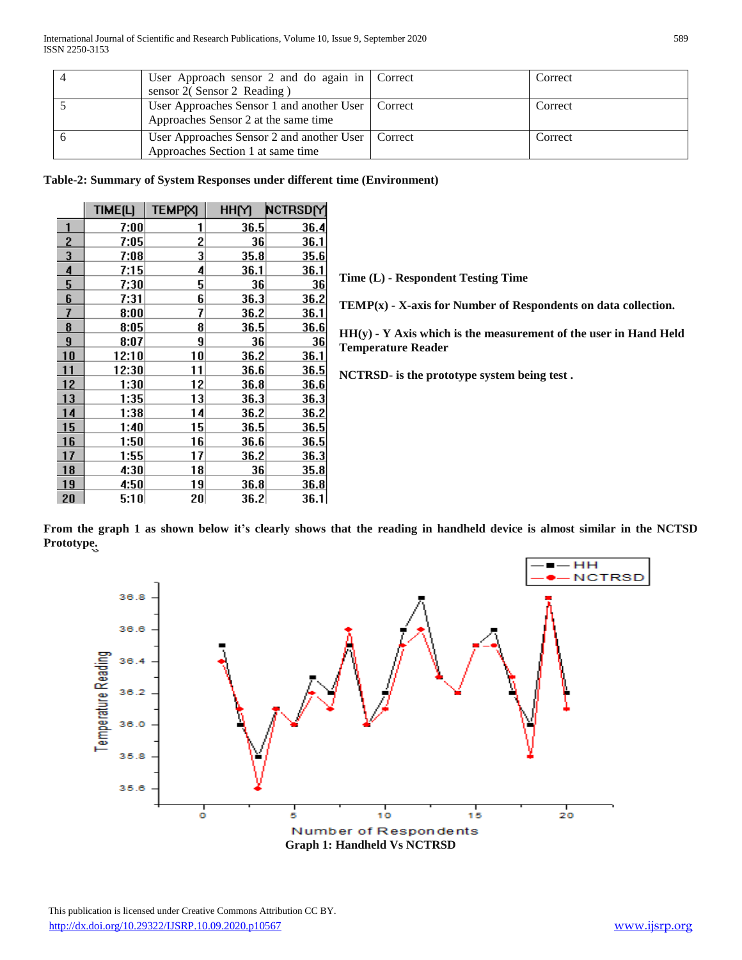| User Approach sensor 2 and do again in $\vert$ Correct                                      | Correct |  |
|---------------------------------------------------------------------------------------------|---------|--|
| sensor 2(Sensor 2 Reading)                                                                  |         |  |
| User Approaches Sensor 1 and another User   Correct<br>Approaches Sensor 2 at the same time | Correct |  |
| User Approaches Sensor 2 and another User   Correct<br>Approaches Section 1 at same time    | Correct |  |

**Table-2: Summary of System Responses under different time (Environment)** 

|                         | TIME[L] | <b>TEMPIXI</b> | HHM  | NCTRSDM     |
|-------------------------|---------|----------------|------|-------------|
| 1                       | 7:00    | 1              | 36.5 | <u>36.4</u> |
| $\overline{2}$          | 7:05    | 2              | 36   | 36.1        |
| $\overline{\mathbf{3}}$ | 7:08    | 3              | 35.8 | 35.6        |
| 4                       | 7:15    | 4              | 36.1 | 36.1        |
| 5                       | 7;30    | 5              | 36   | 36          |
| 6                       | 7:31    | 6              | 36.3 | 36.2        |
| 7                       | 8:00    | 7              | 36.2 | 36.1        |
| 8                       | 8:05    | 8              | 36.5 | 36.6        |
| $\overline{9}$          | 8:07    | 9              | 36   | 36          |
| 10                      | 12:10   | 10             | 36.2 | 36.1        |
| 11                      | 12:30   | 11             | 36.6 | 36.5        |
| 12                      | 1:30    | 12             | 36.8 | 36.6        |
| 13                      | 1:35    | 13             | 36.3 | 36.3        |
| 14                      | 1:38    | 14             | 36.2 | 36.2        |
| 15                      | 1:40    | 15             | 36.5 | 36.5        |
| 16                      | 1:50    | 16             | 36.6 | 36.5        |
| 17                      | 1:55    | 17             | 36.2 | 36.3        |
| <b>18</b>               | 4:30    | 18             | 36   | 35.8        |
| 19                      | 4:50    | 19             | 36.8 | 36.8        |
| 20                      | 5:10    | 20             | 36.2 | 36.1        |

**Time (L) - Respondent Testing Time** 

**TEMP(x) - X-axis for Number of Respondents on data collection.** 

**HH(y) - Y Axis which is the measurement of the user in Hand Held Temperature Reader** 

**NCTRSD- is the prototype system being test .** 

**From the graph 1 as shown below it's clearly shows that the reading in handheld device is almost similar in the NCTSD Prototype.**

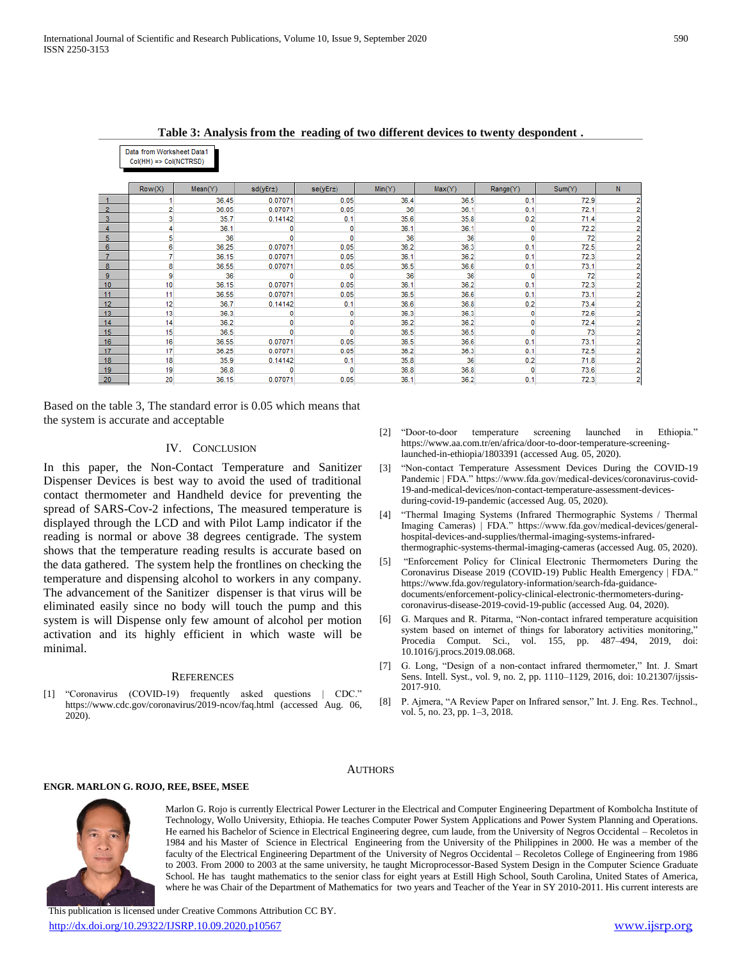**Table 3: Analysis from the reading of two different devices to twenty despondent .**

|                | Col(HH) => Col(NCTRSD) |         |              |              |        |        |              |        |                |
|----------------|------------------------|---------|--------------|--------------|--------|--------|--------------|--------|----------------|
|                |                        |         |              |              |        |        |              |        |                |
|                | Row(X)                 | Mean(Y) | sd(yEr±)     | se(yEr±)     | Min(Y) | Max(Y) | Range(Y)     | Sum(Y) | N              |
|                |                        | 36.45   | 0.07071      | 0.05         | 36.4   | 36.5   | 0.1          | 72.9   | 2              |
| $\overline{2}$ |                        | 36.05   | 0.07071      | 0.05         | 36     | 36.1   | 0.1          | 72.1   | 2              |
| 3              | 3                      | 35.7    | 0.14142      | 0.1          | 35.6   | 35.8   | 0.2          | 71.4   | 2              |
|                |                        | 36.1    | 0            | $\mathbf 0$  | 36.1   | 36.1   | $\mathbf 0$  | 72.2   | 2              |
| 5              | 5                      | 36      | $\mathbf{0}$ | $\mathbf{0}$ | 36     | 36     | $\mathbf{0}$ | 72     | 2              |
| 6              | 6                      | 36.25   | 0.07071      | 0.05         | 36.2   | 36.3   | 0.1          | 72.5   | 2              |
|                |                        | 36.15   | 0.07071      | 0.05         | 36.1   | 36.2   | 0.1          | 72.3   | 2              |
| 8              | 8                      | 36.55   | 0.07071      | 0.05         | 36.5   | 36.6   | 0.1          | 73.1   | 2              |
| 9              | 9                      | 36      | 0            | 0            | 36     | 36     | 0            | 72     | 2              |
| 10             | 10                     | 36.15   | 0.07071      | 0.05         | 36.1   | 36.2   | 0.1          | 72.3   | 2              |
| 11             | 11                     | 36.55   | 0.07071      | 0.05         | 36.5   | 36.6   | 0.1          | 73.1   | $\overline{2}$ |
| 12             | 12                     | 36.7    | 0.14142      | 0.1          | 36.6   | 36.8   | 0.2          | 73.4   | 2              |
| 13             | 13                     | 36.3    | $\mathbf{0}$ | $\mathbf 0$  | 36.3   | 36.3   | 0            | 72.6   | $\overline{2}$ |
| 14             | 14                     | 36.2    | 0            | $\mathbf{0}$ | 36.2   | 36.2   | 0            | 72.4   | 2              |
| 15             | 15                     | 36.5    | 0            | 0            | 36.5   | 36.5   | 0            | 73     | $\overline{2}$ |
| 16             | 16                     | 36.55   | 0.07071      | 0.05         | 36.5   | 36.6   | 0.1          | 73.1   | $\overline{2}$ |
| 17             | 17                     | 36.25   | 0.07071      | 0.05         | 36.2   | 36.3   | 0.1          | 72.5   | 2              |
| 18             | 18                     | 35.9    | 0.14142      | 0.1          | 35.8   | 36     | 0.2          | 71.8   | 2              |
| 19             | 19                     | 36.8    | 0            | $\mathbf{0}$ | 36.8   | 36.8   | 0            | 73.6   | 2              |
| 20             | 20                     | 36.15   | 0.07071      | 0.05         | 36.1   | 36.2   | 0.1          | 72.3   | 2              |

Based on the table 3, The standard error is 0.05 which means that the system is accurate and acceptable

Data from Worksheet Data1

#### IV. CONCLUSION

In this paper, the Non-Contact Temperature and Sanitizer Dispenser Devices is best way to avoid the used of traditional contact thermometer and Handheld device for preventing the spread of SARS-Cov-2 infections, The measured temperature is displayed through the LCD and with Pilot Lamp indicator if the reading is normal or above 38 degrees centigrade. The system shows that the temperature reading results is accurate based on the data gathered. The system help the frontlines on checking the temperature and dispensing alcohol to workers in any company. The advancement of the Sanitizer dispenser is that virus will be eliminated easily since no body will touch the pump and this system is will Dispense only few amount of alcohol per motion activation and its highly efficient in which waste will be minimal.

#### **REFERENCES**

"Coronavirus (COVID-19) frequently asked questions | CDC." https://www.cdc.gov/coronavirus/2019-ncov/faq.html (accessed Aug. 06, 2020).

- [2] "Door-to-door temperature screening launched in Ethiopia." https://www.aa.com.tr/en/africa/door-to-door-temperature-screeninglaunched-in-ethiopia/1803391 (accessed Aug. 05, 2020).
- [3] "Non-contact Temperature Assessment Devices During the COVID-19 Pandemic | FDA." https://www.fda.gov/medical-devices/coronavirus-covid-19-and-medical-devices/non-contact-temperature-assessment-devicesduring-covid-19-pandemic (accessed Aug. 05, 2020).
- [4] "Thermal Imaging Systems (Infrared Thermographic Systems / Thermal Imaging Cameras) | FDA." https://www.fda.gov/medical-devices/generalhospital-devices-and-supplies/thermal-imaging-systems-infraredthermographic-systems-thermal-imaging-cameras (accessed Aug. 05, 2020).
- [5] "Enforcement Policy for Clinical Electronic Thermometers During the Coronavirus Disease 2019 (COVID-19) Public Health Emergency | FDA." https://www.fda.gov/regulatory-information/search-fda-guidancedocuments/enforcement-policy-clinical-electronic-thermometers-duringcoronavirus-disease-2019-covid-19-public (accessed Aug. 04, 2020).
- [6] G. Marques and R. Pitarma, "Non-contact infrared temperature acquisition system based on internet of things for laboratory activities monitoring," Procedia Comput. Sci., vol. 155, pp. 487–494, 2019, doi: 10.1016/j.procs.2019.08.068.
- [7] G. Long, "Design of a non-contact infrared thermometer," Int. J. Smart Sens. Intell. Syst., vol. 9, no. 2, pp. 1110–1129, 2016, doi: 10.21307/ijssis-2017-910.
- [8] P. Ajmera, "A Review Paper on Infrared sensor," Int. J. Eng. Res. Technol., vol. 5, no. 23, pp. 1–3, 2018.

#### **AUTHORS**

#### **ENGR. MARLON G. ROJO, REE, BSEE, MSEE**



Marlon G. Rojo is currently Electrical Power Lecturer in the Electrical and Computer Engineering Department of Kombolcha Institute of Technology, Wollo University, Ethiopia. He teaches Computer Power System Applications and Power System Planning and Operations. He earned his Bachelor of Science in Electrical Engineering degree, cum laude, from the University of Negros Occidental – Recoletos in 1984 and his Master of Science in Electrical Engineering from the University of the Philippines in 2000. He was a member of the faculty of the Electrical Engineering Department of the University of Negros Occidental – Recoletos College of Engineering from 1986 to 2003. From 2000 to 2003 at the same university, he taught Microprocessor-Based System Design in the Computer Science Graduate School. He has taught mathematics to the senior class for eight years at Estill High School, South Carolina, United States of America, where he was Chair of the Department of Mathematics for two years and Teacher of the Year in SY 2010-2011. His current interests are

 This publication is licensed under Creative Commons Attribution CC BY. <http://dx.doi.org/10.29322/IJSRP.10.09.2020.p10567> [www.ijsrp.org](http://ijsrp.org/)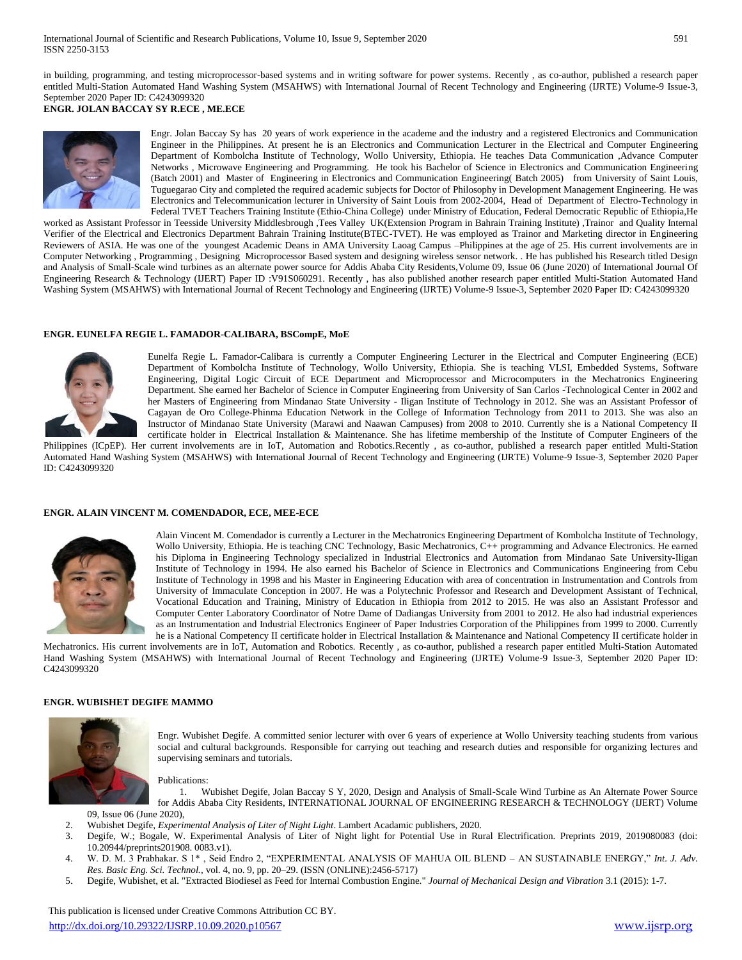in building, programming, and testing microprocessor-based systems and in writing software for power systems. Recently , as co-author, published a research paper entitled Multi-Station Automated Hand Washing System (MSAHWS) with International Journal of Recent Technology and Engineering (IJRTE) Volume-9 Issue-3, September 2020 Paper ID: C4243099320

**ENGR. JOLAN BACCAY SY R.ECE , ME.ECE**



Engr. Jolan Baccay Sy has 20 years of work experience in the academe and the industry and a registered Electronics and Communication Engineer in the Philippines. At present he is an Electronics and Communication Lecturer in the Electrical and Computer Engineering Department of Kombolcha Institute of Technology, Wollo University, Ethiopia. He teaches Data Communication ,Advance Computer Networks , Microwave Engineering and Programming. He took his Bachelor of Science in Electronics and Communication Engineering (Batch 2001) and Master of Engineering in Electronics and Communication Engineering( Batch 2005) from University of Saint Louis, Tuguegarao City and completed the required academic subjects for Doctor of Philosophy in Development Management Engineering. He was Electronics and Telecommunication lecturer in University of Saint Louis from 2002-2004, Head of Department of Electro-Technology in Federal TVET Teachers Training Institute (Ethio-China College) under Ministry of Education, Federal Democratic Republic of Ethiopia,He

worked as Assistant Professor in Teesside University Middlesbrough ,Tees Valley UK(Extension Program in Bahrain Training Institute) ,Trainor and Quality Internal Verifier of the Electrical and Electronics Department Bahrain Training Institute(BTEC-TVET). He was employed as Trainor and Marketing director in Engineering Reviewers of ASIA. He was one of the youngest Academic Deans in AMA University Laoag Campus –Philippines at the age of 25. His current involvements are in Computer Networking , Programming , Designing Microprocessor Based system and designing wireless sensor network. . He has published his Research titled Design and Analysis of Small-Scale wind turbines as an alternate power source for Addis Ababa City Residents, Volume 09, Issue 06 (June 2020) of International Journal Of Engineering Research & Technology (IJERT) Paper ID: V91S060291. Recently, has also published another research paper entitled Multi-Station Automated Hand Washing System (MSAHWS) with International Journal of Recent Technology and Engineering (IJRTE) Volume-9 Issue-3, September 2020 Paper ID: C4243099320

#### **ENGR. EUNELFA REGIE L. FAMADOR-CALIBARA, BSCompE, MoE**



Eunelfa Regie L. Famador-Calibara is currently a Computer Engineering Lecturer in the Electrical and Computer Engineering (ECE) Department of Kombolcha Institute of Technology, Wollo University, Ethiopia. She is teaching VLSI, Embedded Systems, Software Engineering, Digital Logic Circuit of ECE Department and Microprocessor and Microcomputers in the Mechatronics Engineering Department. She earned her Bachelor of Science in Computer Engineering from University of San Carlos -Technological Center in 2002 and her Masters of Engineering from Mindanao State University - Iligan Institute of Technology in 2012. She was an Assistant Professor of Cagayan de Oro College-Phinma Education Network in the College of Information Technology from 2011 to 2013. She was also an Instructor of Mindanao State University (Marawi and Naawan Campuses) from 2008 to 2010. Currently she is a National Competency II certificate holder in Electrical Installation & Maintenance. She has lifetime membership of the Institute of Computer Engineers of the

Philippines (ICpEP). Her current involvements are in IoT, Automation and Robotics.Recently , as co-author, published a research paper entitled Multi-Station Automated Hand Washing System (MSAHWS) with International Journal of Recent Technology and Engineering (IJRTE) Volume-9 Issue-3, September 2020 Paper ID: C4243099320

#### **ENGR. ALAIN VINCENT M. COMENDADOR, ECE, MEE-ECE**



Alain Vincent M. Comendador is currently a Lecturer in the Mechatronics Engineering Department of Kombolcha Institute of Technology, Wollo University, Ethiopia. He is teaching CNC Technology, Basic Mechatronics, C++ programming and Advance Electronics. He earned his Diploma in Engineering Technology specialized in Industrial Electronics and Automation from Mindanao Sate University-Iligan Institute of Technology in 1994. He also earned his Bachelor of Science in Electronics and Communications Engineering from Cebu Institute of Technology in 1998 and his Master in Engineering Education with area of concentration in Instrumentation and Controls from University of Immaculate Conception in 2007. He was a Polytechnic Professor and Research and Development Assistant of Technical, Vocational Education and Training, Ministry of Education in Ethiopia from 2012 to 2015. He was also an Assistant Professor and Computer Center Laboratory Coordinator of Notre Dame of Dadiangas University from 2001 to 2012. He also had industrial experiences as an Instrumentation and Industrial Electronics Engineer of Paper Industries Corporation of the Philippines from 1999 to 2000. Currently he is a National Competency II certificate holder in Electrical Installation & Maintenance and National Competency II certificate holder in

Mechatronics. His current involvements are in IoT, Automation and Robotics. Recently , as co-author, published a research paper entitled Multi-Station Automated Hand Washing System (MSAHWS) with International Journal of Recent Technology and Engineering (IJRTE) Volume-9 Issue-3, September 2020 Paper ID: C4243099320

#### **ENGR. WUBISHET DEGIFE MAMMO**



Engr. Wubishet Degife. A committed senior lecturer with over 6 years of experience at Wollo University teaching students from various social and cultural backgrounds. Responsible for carrying out teaching and research duties and responsible for organizing lectures and supervising seminars and tutorials.

Publications:

1. Wubishet Degife, Jolan Baccay S Y, 2020, Design and Analysis of Small-Scale Wind Turbine as An Alternate Power Source for Addis Ababa City Residents, INTERNATIONAL JOURNAL OF ENGINEERING RESEARCH & TECHNOLOGY (IJERT) Volume

09, Issue 06 (June 2020),

- 2. Wubishet Degife, *Experimental Analysis of Liter of Night Light*. Lambert Acadamic publishers, 2020.
- 3. Degife, W.; Bogale, W. Experimental Analysis of Liter of Night light for Potential Use in Rural Electrification. Preprints 2019, 2019080083 (doi: 10.20944/preprints201908. 0083.v1).
- 4. W. D. M. 3 Prabhakar. S 1\* , Seid Endro 2, "EXPERIMENTAL ANALYSIS OF MAHUA OIL BLEND AN SUSTAINABLE ENERGY," *Int. J. Adv. Res. Basic Eng. Sci. Technol.*, vol. 4, no. 9, pp. 20–29. (ISSN (ONLINE):2456-5717)
- 5. Degife, Wubishet, et al. "Extracted Biodiesel as Feed for Internal Combustion Engine." *Journal of Mechanical Design and Vibration* 3.1 (2015): 1-7.

 This publication is licensed under Creative Commons Attribution CC BY. <http://dx.doi.org/10.29322/IJSRP.10.09.2020.p10567> [www.ijsrp.org](http://ijsrp.org/)